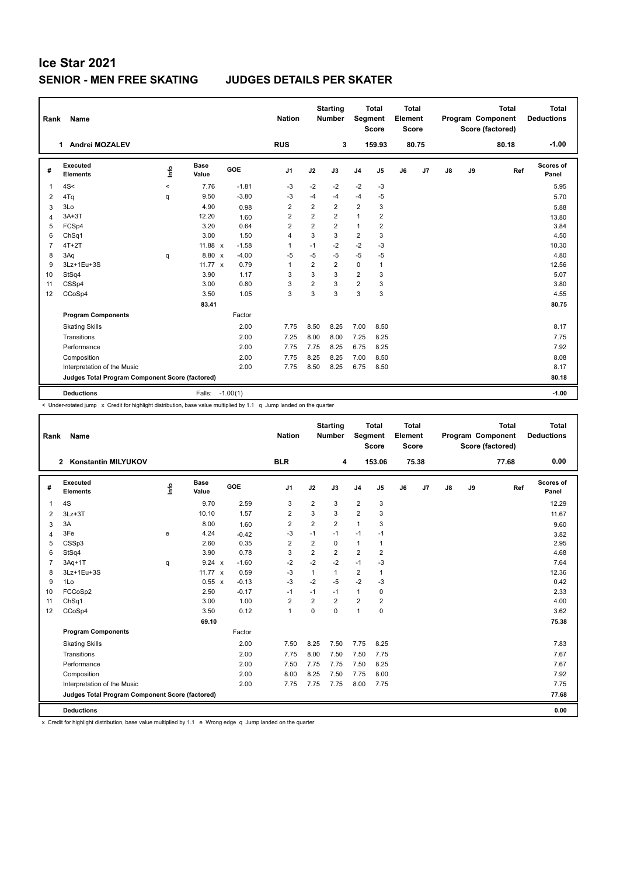## **Ice Star 2021 SENIOR - MEN FREE SKATING JUDGES DETAILS PER SKATER**

| Rank           | <b>Name</b>                                     |       |                      |         | <b>Nation</b>  |                | <b>Starting</b><br><b>Number</b> | Segment        | <b>Total</b><br><b>Score</b> | Total<br>Element<br><b>Score</b> |                |    |    | <b>Total</b><br>Program Component<br>Score (factored) | Total<br><b>Deductions</b> |
|----------------|-------------------------------------------------|-------|----------------------|---------|----------------|----------------|----------------------------------|----------------|------------------------------|----------------------------------|----------------|----|----|-------------------------------------------------------|----------------------------|
|                | Andrei MOZALEV<br>1.                            |       |                      |         | <b>RUS</b>     |                | 3                                |                | 159.93                       |                                  | 80.75          |    |    | 80.18                                                 | $-1.00$                    |
| #              | Executed<br><b>Elements</b>                     | info  | <b>Base</b><br>Value | GOE     | J <sub>1</sub> | J2             | J3                               | J <sub>4</sub> | J5                           | J6                               | J <sub>7</sub> | J8 | J9 | Ref                                                   | <b>Scores of</b><br>Panel  |
| $\overline{1}$ | 4S<                                             | $\,<$ | 7.76                 | $-1.81$ | $-3$           | $-2$           | $-2$                             | $-2$           | -3                           |                                  |                |    |    |                                                       | 5.95                       |
| 2              | 4Tq                                             | q     | 9.50                 | $-3.80$ | $-3$           | $-4$           | $-4$                             | $-4$           | $-5$                         |                                  |                |    |    |                                                       | 5.70                       |
| 3              | 3Lo                                             |       | 4.90                 | 0.98    | $\overline{2}$ | $\overline{2}$ | $\overline{2}$                   | $\overline{2}$ | 3                            |                                  |                |    |    |                                                       | 5.88                       |
| 4              | $3A+3T$                                         |       | 12.20                | 1.60    | $\overline{2}$ | $\overline{2}$ | $\overline{2}$                   | $\mathbf{1}$   | $\overline{2}$               |                                  |                |    |    |                                                       | 13.80                      |
| 5              | FCSp4                                           |       | 3.20                 | 0.64    | $\overline{2}$ | $\overline{2}$ | $\overline{2}$                   | $\mathbf{1}$   | $\overline{2}$               |                                  |                |    |    |                                                       | 3.84                       |
| 6              | Ch <sub>Sq1</sub>                               |       | 3.00                 | 1.50    | $\overline{4}$ | 3              | 3                                | $\overline{2}$ | 3                            |                                  |                |    |    |                                                       | 4.50                       |
| $\overline{7}$ | $4T+2T$                                         |       | 11.88 x              | $-1.58$ | $\overline{1}$ | $-1$           | $-2$                             | $-2$           | -3                           |                                  |                |    |    |                                                       | 10.30                      |
| 8              | 3Aq                                             | q     | 8.80 x               | $-4.00$ | $-5$           | $-5$           | $-5$                             | $-5$           | -5                           |                                  |                |    |    |                                                       | 4.80                       |
| 9              | 3Lz+1Eu+3S                                      |       | 11.77 $x$            | 0.79    | $\overline{1}$ | $\overline{2}$ | $\overline{2}$                   | $\mathbf 0$    | $\mathbf{1}$                 |                                  |                |    |    |                                                       | 12.56                      |
| 10             | StSq4                                           |       | 3.90                 | 1.17    | 3              | 3              | 3                                | $\overline{2}$ | 3                            |                                  |                |    |    |                                                       | 5.07                       |
| 11             | CSSp4                                           |       | 3.00                 | 0.80    | 3              | $\overline{2}$ | 3                                | $\overline{2}$ | 3                            |                                  |                |    |    |                                                       | 3.80                       |
| 12             | CCoSp4                                          |       | 3.50                 | 1.05    | 3              | 3              | 3                                | 3              | 3                            |                                  |                |    |    |                                                       | 4.55                       |
|                |                                                 |       | 83.41                |         |                |                |                                  |                |                              |                                  |                |    |    |                                                       | 80.75                      |
|                | <b>Program Components</b>                       |       |                      | Factor  |                |                |                                  |                |                              |                                  |                |    |    |                                                       |                            |
|                | <b>Skating Skills</b>                           |       |                      | 2.00    | 7.75           | 8.50           | 8.25                             | 7.00           | 8.50                         |                                  |                |    |    |                                                       | 8.17                       |
|                | Transitions                                     |       |                      | 2.00    | 7.25           | 8.00           | 8.00                             | 7.25           | 8.25                         |                                  |                |    |    |                                                       | 7.75                       |
|                | Performance                                     |       |                      | 2.00    | 7.75           | 7.75           | 8.25                             | 6.75           | 8.25                         |                                  |                |    |    |                                                       | 7.92                       |
|                | Composition                                     |       |                      | 2.00    | 7.75           | 8.25           | 8.25                             | 7.00           | 8.50                         |                                  |                |    |    |                                                       | 8.08                       |
|                | Interpretation of the Music                     |       |                      | 2.00    | 7.75           | 8.50           | 8.25                             | 6.75           | 8.50                         |                                  |                |    |    |                                                       | 8.17                       |
|                | Judges Total Program Component Score (factored) |       |                      |         |                |                |                                  |                |                              |                                  |                |    |    |                                                       | 80.18                      |
|                | <b>Deductions</b>                               |       | Falls: -1.00(1)      |         |                |                |                                  |                |                              |                                  |                |    |    |                                                       | $-1.00$                    |

< Under-rotated jump x Credit for highlight distribution, base value multiplied by 1.1 q Jump landed on the quarter

| Rank           | Name                                            |      |                      |         | <b>Nation</b>  |                | <b>Starting</b><br><b>Number</b> | Segment        | <b>Total</b><br><b>Score</b> | Total<br>Element<br><b>Score</b> |                |               |    | <b>Total</b><br>Program Component<br>Score (factored) | <b>Total</b><br><b>Deductions</b> |
|----------------|-------------------------------------------------|------|----------------------|---------|----------------|----------------|----------------------------------|----------------|------------------------------|----------------------------------|----------------|---------------|----|-------------------------------------------------------|-----------------------------------|
|                | <b>Konstantin MILYUKOV</b><br>2                 |      |                      |         | <b>BLR</b>     |                | 4                                |                | 153.06                       |                                  | 75.38          |               |    | 77.68                                                 | 0.00                              |
| #              | Executed<br><b>Elements</b>                     | ١mfo | <b>Base</b><br>Value | GOE     | J <sub>1</sub> | J2             | J3                               | J <sub>4</sub> | J <sub>5</sub>               | J6                               | J <sub>7</sub> | $\mathsf{J}8$ | J9 | Ref                                                   | <b>Scores of</b><br>Panel         |
| 1              | 4S                                              |      | 9.70                 | 2.59    | 3              | $\overline{2}$ | 3                                | $\overline{2}$ | 3                            |                                  |                |               |    |                                                       | 12.29                             |
| 2              | $3Lz + 3T$                                      |      | 10.10                | 1.57    | $\overline{2}$ | 3              | 3                                | $\overline{2}$ | 3                            |                                  |                |               |    |                                                       | 11.67                             |
| 3              | 3A                                              |      | 8.00                 | 1.60    | $\overline{2}$ | $\overline{2}$ | $\overline{2}$                   | $\mathbf{1}$   | 3                            |                                  |                |               |    |                                                       | 9.60                              |
| 4              | 3Fe                                             | e    | 4.24                 | $-0.42$ | $-3$           | $-1$           | $-1$                             | $-1$           | $-1$                         |                                  |                |               |    |                                                       | 3.82                              |
| 5              | CSSp3                                           |      | 2.60                 | 0.35    | $\overline{2}$ | $\overline{2}$ | $\mathbf 0$                      | $\mathbf{1}$   | $\overline{1}$               |                                  |                |               |    |                                                       | 2.95                              |
| 6              | StSq4                                           |      | 3.90                 | 0.78    | 3              | $\overline{2}$ | 2                                | $\overline{2}$ | $\overline{2}$               |                                  |                |               |    |                                                       | 4.68                              |
| $\overline{7}$ | $3Aq+1T$                                        | q    | $9.24 \times$        | $-1.60$ | $-2$           | $-2$           | $-2$                             | $-1$           | -3                           |                                  |                |               |    |                                                       | 7.64                              |
| 8              | 3Lz+1Eu+3S                                      |      | 11.77 $\times$       | 0.59    | $-3$           | $\mathbf{1}$   | $\mathbf{1}$                     | $\overline{2}$ | $\mathbf{1}$                 |                                  |                |               |    |                                                       | 12.36                             |
| 9              | 1Lo                                             |      | 0.55 x               | $-0.13$ | $-3$           | $-2$           | $-5$                             | $-2$           | -3                           |                                  |                |               |    |                                                       | 0.42                              |
| 10             | FCCoSp2                                         |      | 2.50                 | $-0.17$ | $-1$           | $-1$           | $-1$                             | 1              | 0                            |                                  |                |               |    |                                                       | 2.33                              |
| 11             | ChSq1                                           |      | 3.00                 | 1.00    | $\overline{2}$ | $\overline{2}$ | $\overline{2}$                   | $\overline{2}$ | $\overline{2}$               |                                  |                |               |    |                                                       | 4.00                              |
| 12             | CCoSp4                                          |      | 3.50                 | 0.12    | $\mathbf{1}$   | $\Omega$       | $\Omega$                         | $\mathbf{1}$   | $\mathbf 0$                  |                                  |                |               |    |                                                       | 3.62                              |
|                |                                                 |      | 69.10                |         |                |                |                                  |                |                              |                                  |                |               |    |                                                       | 75.38                             |
|                | <b>Program Components</b>                       |      |                      | Factor  |                |                |                                  |                |                              |                                  |                |               |    |                                                       |                                   |
|                | <b>Skating Skills</b>                           |      |                      | 2.00    | 7.50           | 8.25           | 7.50                             | 7.75           | 8.25                         |                                  |                |               |    |                                                       | 7.83                              |
|                | Transitions                                     |      |                      | 2.00    | 7.75           | 8.00           | 7.50                             | 7.50           | 7.75                         |                                  |                |               |    |                                                       | 7.67                              |
|                | Performance                                     |      |                      | 2.00    | 7.50           | 7.75           | 7.75                             | 7.50           | 8.25                         |                                  |                |               |    |                                                       | 7.67                              |
|                | Composition                                     |      |                      | 2.00    | 8.00           | 8.25           | 7.50                             | 7.75           | 8.00                         |                                  |                |               |    |                                                       | 7.92                              |
|                | Interpretation of the Music                     |      |                      | 2.00    | 7.75           | 7.75           | 7.75                             | 8.00           | 7.75                         |                                  |                |               |    |                                                       | 7.75                              |
|                | Judges Total Program Component Score (factored) |      |                      |         |                |                |                                  |                |                              |                                  |                |               |    |                                                       | 77.68                             |
|                | <b>Deductions</b>                               |      |                      |         |                |                |                                  |                |                              |                                  |                |               |    |                                                       | 0.00                              |

x Credit for highlight distribution, base value multiplied by 1.1 e Wrong edge q Jump landed on the quarter